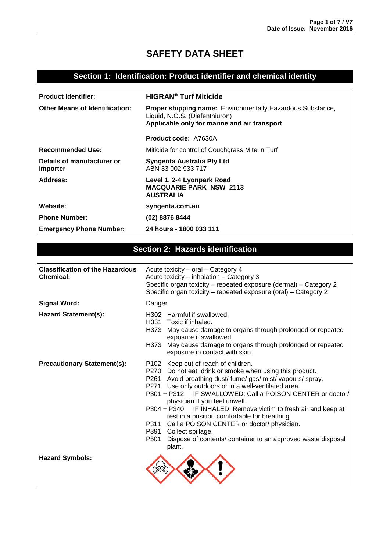# **SAFETY DATA SHEET**

#### **Section 1: Identification: Product identifier and chemical identity**

| <b>Product Identifier:</b>                 | <b>HIGRAN<sup>®</sup> Turf Miticide</b>                                                                                                             |  |
|--------------------------------------------|-----------------------------------------------------------------------------------------------------------------------------------------------------|--|
| Other Means of Identification:             | <b>Proper shipping name:</b> Environmentally Hazardous Substance,<br>Liquid, N.O.S. (Diafenthiuron)<br>Applicable only for marine and air transport |  |
|                                            | <b>Product code: A7630A</b>                                                                                                                         |  |
| Recommended Use:                           | Miticide for control of Couchgrass Mite in Turf                                                                                                     |  |
| l Details of manufacturer or<br>  importer | Syngenta Australia Pty Ltd<br>ABN 33 002 933 717                                                                                                    |  |
| Address:                                   | Level 1, 2-4 Lyonpark Road<br><b>MACQUARIE PARK NSW 2113</b><br><b>AUSTRALIA</b>                                                                    |  |
| Website:                                   | syngenta.com.au                                                                                                                                     |  |
| <b>Phone Number:</b>                       | (02) 8876 8444                                                                                                                                      |  |
| <b>Emergency Phone Number:</b>             | 24 hours - 1800 033 111                                                                                                                             |  |

#### **Section 2: Hazards identification**

| <b>Classification of the Hazardous</b><br><b>Chemical:</b> | Acute toxicity - oral - Category 4<br>Acute toxicity - inhalation - Category 3<br>Specific organ toxicity – repeated exposure (dermal) – Category 2<br>Specific organ toxicity - repeated exposure (oral) - Category 2                                                                                                                                                                                                                                                                                                                                                                                    |  |
|------------------------------------------------------------|-----------------------------------------------------------------------------------------------------------------------------------------------------------------------------------------------------------------------------------------------------------------------------------------------------------------------------------------------------------------------------------------------------------------------------------------------------------------------------------------------------------------------------------------------------------------------------------------------------------|--|
| <b>Signal Word:</b>                                        | Danger                                                                                                                                                                                                                                                                                                                                                                                                                                                                                                                                                                                                    |  |
| <b>Hazard Statement(s):</b>                                | H302 Harmful if swallowed.<br>H331 Toxic if inhaled.<br>H373 May cause damage to organs through prolonged or repeated<br>exposure if swallowed.<br>May cause damage to organs through prolonged or repeated<br>H373<br>exposure in contact with skin.                                                                                                                                                                                                                                                                                                                                                     |  |
| <b>Precautionary Statement(s):</b>                         | P102 Keep out of reach of children.<br>P270 Do not eat, drink or smoke when using this product.<br>P261 Avoid breathing dust/ fume/ gas/ mist/ vapours/ spray.<br>P271 Use only outdoors or in a well-ventilated area.<br>P301 + P312 IF SWALLOWED: Call a POISON CENTER or doctor/<br>physician if you feel unwell.<br>P304 + P340 IF INHALED: Remove victim to fresh air and keep at<br>rest in a position comfortable for breathing.<br>Call a POISON CENTER or doctor/ physician.<br>P311<br>P391 Collect spillage.<br>P501<br>Dispose of contents/ container to an approved waste disposal<br>plant. |  |
| <b>Hazard Symbols:</b>                                     |                                                                                                                                                                                                                                                                                                                                                                                                                                                                                                                                                                                                           |  |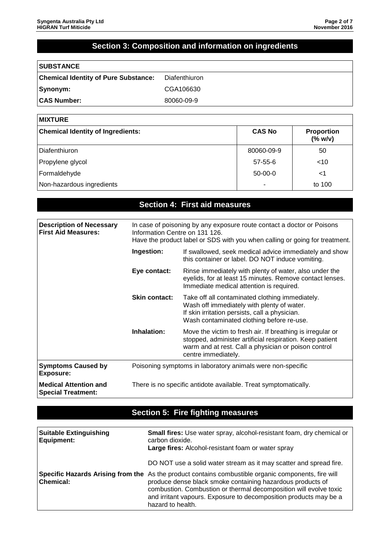### **Section 3: Composition and information on ingredients**

| <b>SUBSTANCE</b>                            |               |
|---------------------------------------------|---------------|
| <b>Chemical Identity of Pure Substance:</b> | Diafenthiuron |
| Synonym:                                    | CGA106630     |
| <b>CAS Number:</b>                          | 80060-09-9    |

| <b>MIXTURE</b>                           |               |                                   |
|------------------------------------------|---------------|-----------------------------------|
| <b>Chemical Identity of Ingredients:</b> | <b>CAS No</b> | <b>Proportion</b><br>$(%$ (% w/v) |
| Diafenthiuron                            | 80060-09-9    | 50                                |
| Propylene glycol                         | 57-55-6       | $<$ 10                            |
| Formaldehyde                             | $50-00-0$     | <1                                |
| Non-hazardous ingredients                |               | to 100                            |

### **Section 4: First aid measures**

| <b>Description of Necessary</b><br><b>First Aid Measures:</b> | In case of poisoning by any exposure route contact a doctor or Poisons<br>Information Centre on 131 126.<br>Have the product label or SDS with you when calling or going for treatment. |                                                                                                                                                                                                       |
|---------------------------------------------------------------|-----------------------------------------------------------------------------------------------------------------------------------------------------------------------------------------|-------------------------------------------------------------------------------------------------------------------------------------------------------------------------------------------------------|
|                                                               | Ingestion:<br>If swallowed, seek medical advice immediately and show<br>this container or label. DO NOT induce vomiting.                                                                |                                                                                                                                                                                                       |
|                                                               | Eye contact:                                                                                                                                                                            | Rinse immediately with plenty of water, also under the<br>eyelids, for at least 15 minutes. Remove contact lenses.<br>Immediate medical attention is required.                                        |
|                                                               | <b>Skin contact:</b>                                                                                                                                                                    | Take off all contaminated clothing immediately.<br>Wash off immediately with plenty of water.<br>If skin irritation persists, call a physician.<br>Wash contaminated clothing before re-use.          |
|                                                               | Inhalation:                                                                                                                                                                             | Move the victim to fresh air. If breathing is irregular or<br>stopped, administer artificial respiration. Keep patient<br>warm and at rest. Call a physician or poison control<br>centre immediately. |
| <b>Symptoms Caused by</b><br><b>Exposure:</b>                 | Poisoning symptoms in laboratory animals were non-specific                                                                                                                              |                                                                                                                                                                                                       |
| <b>Medical Attention and</b><br><b>Special Treatment:</b>     | There is no specific antidote available. Treat symptomatically.                                                                                                                         |                                                                                                                                                                                                       |

### **Section 5: Fire fighting measures**

| <b>Suitable Extinguishing</b><br>Equipment: | <b>Small fires:</b> Use water spray, alcohol-resistant foam, dry chemical or<br>carbon dioxide.<br>Large fires: Alcohol-resistant foam or water spray                                                                                                                                                                            |
|---------------------------------------------|----------------------------------------------------------------------------------------------------------------------------------------------------------------------------------------------------------------------------------------------------------------------------------------------------------------------------------|
|                                             | DO NOT use a solid water stream as it may scatter and spread fire.                                                                                                                                                                                                                                                               |
| <b>Chemical:</b>                            | Specific Hazards Arising from the As the product contains combustible organic components, fire will<br>produce dense black smoke containing hazardous products of<br>combustion. Combustion or thermal decomposition will evolve toxic<br>and irritant vapours. Exposure to decomposition products may be a<br>hazard to health. |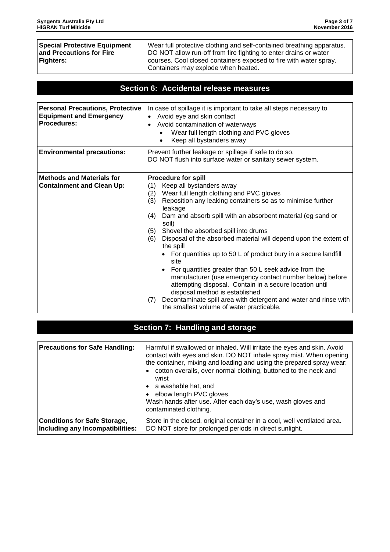**Special Protective Equipment and Precautions for Fire Fighters:**

Wear full protective clothing and self-contained breathing apparatus. DO NOT allow run-off from fire fighting to enter drains or water courses. Cool closed containers exposed to fire with water spray. Containers may explode when heated.

#### **Section 6: Accidental release measures**

| <b>Personal Precautions, Protective</b><br><b>Equipment and Emergency</b><br><b>Procedures:</b> | In case of spillage it is important to take all steps necessary to<br>Avoid eye and skin contact<br>Avoid contamination of waterways<br>$\bullet$<br>Wear full length clothing and PVC gloves<br>Keep all bystanders away<br>$\bullet$ |  |
|-------------------------------------------------------------------------------------------------|----------------------------------------------------------------------------------------------------------------------------------------------------------------------------------------------------------------------------------------|--|
| <b>Environmental precautions:</b>                                                               | Prevent further leakage or spillage if safe to do so.<br>DO NOT flush into surface water or sanitary sewer system.                                                                                                                     |  |
| <b>Methods and Materials for</b>                                                                | <b>Procedure for spill</b>                                                                                                                                                                                                             |  |
| <b>Containment and Clean Up:</b>                                                                | Keep all bystanders away<br>(1)                                                                                                                                                                                                        |  |
|                                                                                                 | Wear full length clothing and PVC gloves<br>(2)                                                                                                                                                                                        |  |
|                                                                                                 | Reposition any leaking containers so as to minimise further<br>(3)<br>leakage                                                                                                                                                          |  |
|                                                                                                 | Dam and absorb spill with an absorbent material (eg sand or<br>(4)<br>soil)                                                                                                                                                            |  |
|                                                                                                 | Shovel the absorbed spill into drums<br>(5)                                                                                                                                                                                            |  |
|                                                                                                 | Disposal of the absorbed material will depend upon the extent of<br>(6)<br>the spill                                                                                                                                                   |  |
|                                                                                                 | For quantities up to 50 L of product bury in a secure landfill<br>site                                                                                                                                                                 |  |
|                                                                                                 | For quantities greater than 50 L seek advice from the<br>$\bullet$<br>manufacturer (use emergency contact number below) before<br>attempting disposal. Contain in a secure location until<br>disposal method is established            |  |
|                                                                                                 | Decontaminate spill area with detergent and water and rinse with<br>(7)<br>the smallest volume of water practicable.                                                                                                                   |  |

#### **Section 7: Handling and storage**

| <b>Precautions for Safe Handling:</b> | Harmful if swallowed or inhaled. Will irritate the eyes and skin. Avoid<br>contact with eyes and skin. DO NOT inhale spray mist. When opening<br>the container, mixing and loading and using the prepared spray wear:<br>• cotton overalls, over normal clothing, buttoned to the neck and<br>wrist<br>• a washable hat, and<br>• elbow length PVC gloves.<br>Wash hands after use. After each day's use, wash gloves and<br>contaminated clothing. |
|---------------------------------------|-----------------------------------------------------------------------------------------------------------------------------------------------------------------------------------------------------------------------------------------------------------------------------------------------------------------------------------------------------------------------------------------------------------------------------------------------------|
| <b>Conditions for Safe Storage,</b>   | Store in the closed, original container in a cool, well ventilated area.                                                                                                                                                                                                                                                                                                                                                                            |
| Including any Incompatibilities:      | DO NOT store for prolonged periods in direct sunlight.                                                                                                                                                                                                                                                                                                                                                                                              |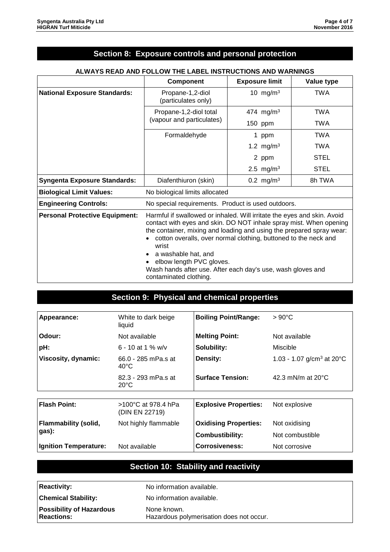# **Section 8: Exposure controls and personal protection**

|                                       | <b>Component</b>                                                                                                                                                                                                                                                                                                                                                                                                                              | <b>Exposure limit</b> | Value type  |
|---------------------------------------|-----------------------------------------------------------------------------------------------------------------------------------------------------------------------------------------------------------------------------------------------------------------------------------------------------------------------------------------------------------------------------------------------------------------------------------------------|-----------------------|-------------|
| <b>National Exposure Standards:</b>   | Propane-1,2-diol<br>(particulates only)                                                                                                                                                                                                                                                                                                                                                                                                       | 10 mg/m $3$           | <b>TWA</b>  |
|                                       | Propane-1,2-diol total<br>(vapour and particulates)                                                                                                                                                                                                                                                                                                                                                                                           | 474 mg/m <sup>3</sup> | <b>TWA</b>  |
|                                       |                                                                                                                                                                                                                                                                                                                                                                                                                                               | 150 ppm               | <b>TWA</b>  |
|                                       | Formaldehyde                                                                                                                                                                                                                                                                                                                                                                                                                                  | 1 ppm                 | TWA         |
|                                       |                                                                                                                                                                                                                                                                                                                                                                                                                                               | 1.2 mg/m <sup>3</sup> | <b>TWA</b>  |
|                                       |                                                                                                                                                                                                                                                                                                                                                                                                                                               | 2 ppm                 | <b>STEL</b> |
|                                       |                                                                                                                                                                                                                                                                                                                                                                                                                                               | 2.5 mg/m <sup>3</sup> | <b>STEL</b> |
| <b>Syngenta Exposure Standards:</b>   | Diafenthiuron (skin)                                                                                                                                                                                                                                                                                                                                                                                                                          | 0.2 mg/m <sup>3</sup> | 8h TWA      |
| <b>Biological Limit Values:</b>       | No biological limits allocated                                                                                                                                                                                                                                                                                                                                                                                                                |                       |             |
| <b>Engineering Controls:</b>          | No special requirements. Product is used outdoors.                                                                                                                                                                                                                                                                                                                                                                                            |                       |             |
| <b>Personal Protective Equipment:</b> | Harmful if swallowed or inhaled. Will irritate the eyes and skin. Avoid<br>contact with eyes and skin. DO NOT inhale spray mist. When opening<br>the container, mixing and loading and using the prepared spray wear:<br>cotton overalls, over normal clothing, buttoned to the neck and<br>wrist<br>a washable hat, and<br>elbow length PVC gloves.<br>Wash hands after use. After each day's use, wash gloves and<br>contaminated clothing. |                       |             |

#### **ALWAYS READ AND FOLLOW THE LABEL INSTRUCTIONS AND WARNINGS**

#### **Section 9: Physical and chemical properties**

| Appearance:                  | White to dark beige                             | <b>Boiling Point/Range:</b>  | $>90^{\circ}$ C                        |
|------------------------------|-------------------------------------------------|------------------------------|----------------------------------------|
|                              | liquid                                          |                              |                                        |
| Odour:                       | Not available                                   | <b>Melting Point:</b>        | Not available                          |
| pH:                          | 6 - 10 at 1 % $w/v$                             | Solubility:                  | Miscible                               |
| Viscosity, dynamic:          | 66.0 - 285 mPa.s at<br>$40^{\circ}$ C           | Density:                     | 1.03 - 1.07 g/cm <sup>3</sup> at 20 °C |
|                              | 82.3 - 293 mPa.s at<br>$20^{\circ}$ C           | <b>Surface Tension:</b>      | 42.3 mN/m at $20^{\circ}$ C            |
|                              |                                                 |                              |                                        |
| <b>Flash Point:</b>          | $>100^{\circ}$ C at 978.4 hPa<br>(DIN EN 22719) | <b>Explosive Properties:</b> | Not explosive                          |
| <b>Flammability (solid,</b>  | Not highly flammable                            | <b>Oxidising Properties:</b> | Not oxidising                          |
| gas):                        |                                                 | <b>Combustibility:</b>       | Not combustible                        |
| <b>Ignition Temperature:</b> | Not available                                   | Corrosiveness:               | Not corrosive                          |

# **Section 10: Stability and reactivity**

| <b>Reactivity:</b>                                   | No information available.                               |
|------------------------------------------------------|---------------------------------------------------------|
| <b>Chemical Stability:</b>                           | No information available.                               |
| <b>Possibility of Hazardous</b><br><b>Reactions:</b> | None known.<br>Hazardous polymerisation does not occur. |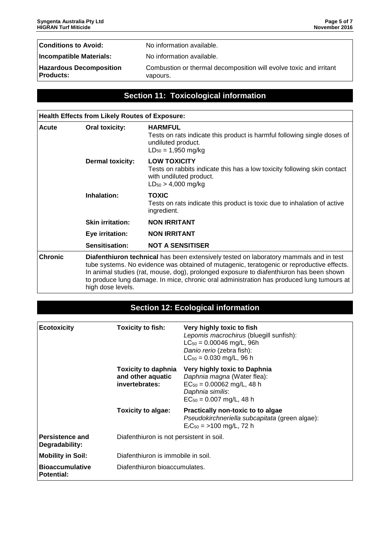**Conditions to Avoid:** No information available.

**Incompatible Materials:** No information available.

**Hazardous Decomposition Products:**

Combustion or thermal decomposition will evolve toxic and irritant vapours.

#### **Section 11: Toxicological information**

| <b>Health Effects from Likely Routes of Exposure:</b> |                                                                                                                                                                                                                                                                                                                                                                                                 |                                                                                                                                                       |  |
|-------------------------------------------------------|-------------------------------------------------------------------------------------------------------------------------------------------------------------------------------------------------------------------------------------------------------------------------------------------------------------------------------------------------------------------------------------------------|-------------------------------------------------------------------------------------------------------------------------------------------------------|--|
| Acute                                                 | <b>Oral toxicity:</b>                                                                                                                                                                                                                                                                                                                                                                           | <b>HARMFUL</b><br>Tests on rats indicate this product is harmful following single doses of<br>undiluted product.<br>$LD_{50} = 1,950$ mg/kg           |  |
| <b>Dermal toxicity:</b>                               |                                                                                                                                                                                                                                                                                                                                                                                                 | <b>LOW TOXICITY</b><br>Tests on rabbits indicate this has a low toxicity following skin contact<br>with undiluted product.<br>$LD_{50} > 4,000$ mg/kg |  |
|                                                       | Inhalation:                                                                                                                                                                                                                                                                                                                                                                                     | <b>TOXIC</b><br>Tests on rats indicate this product is toxic due to inhalation of active<br>ingredient.                                               |  |
|                                                       | <b>Skin irritation:</b>                                                                                                                                                                                                                                                                                                                                                                         | <b>NON IRRITANT</b>                                                                                                                                   |  |
|                                                       | Eye irritation:                                                                                                                                                                                                                                                                                                                                                                                 | <b>NON IRRITANT</b>                                                                                                                                   |  |
|                                                       | Sensitisation:                                                                                                                                                                                                                                                                                                                                                                                  | <b>NOT A SENSITISER</b>                                                                                                                               |  |
| <b>Chronic</b>                                        | Diafenthiuron technical has been extensively tested on laboratory mammals and in test<br>tube systems. No evidence was obtained of mutagenic, teratogenic or reproductive effects.<br>In animal studies (rat, mouse, dog), prolonged exposure to diafenthiuron has been shown<br>to produce lung damage. In mice, chronic oral administration has produced lung tumours at<br>high dose levels. |                                                                                                                                                       |  |

# **Section 12: Ecological information**

| <b>Ecotoxicity</b>                          | <b>Toxicity to fish:</b>                                          | Very highly toxic to fish<br>Lepomis macrochirus (bluegill sunfish):<br>$LC_{50} = 0.00046$ mg/L, 96h<br>Danio rerio (zebra fish):<br>$LC_{50} = 0.030$ mg/L, 96 h |
|---------------------------------------------|-------------------------------------------------------------------|--------------------------------------------------------------------------------------------------------------------------------------------------------------------|
|                                             | <b>Toxicity to daphnia</b><br>and other aquatic<br>invertebrates: | Very highly toxic to Daphnia<br>Daphnia magna (Water flea):<br>$EC_{50} = 0.00062$ mg/L, 48 h<br>Daphnia similis:<br>$EC_{50} = 0.007$ mg/L, 48 h                  |
|                                             | Toxicity to algae:                                                | Practically non-toxic to to algae<br>Pseudokirchneriella subcapitata (green algae):<br>$ErC50 = >100$ mg/L, 72 h                                                   |
| Persistence and<br>Degradability:           | Diafenthiuron is not persistent in soil.                          |                                                                                                                                                                    |
| <b>Mobility in Soil:</b>                    | Diafenthiuron is immobile in soil.                                |                                                                                                                                                                    |
| <b>Bioaccumulative</b><br><b>Potential:</b> | Diafenthiuron bioaccumulates.                                     |                                                                                                                                                                    |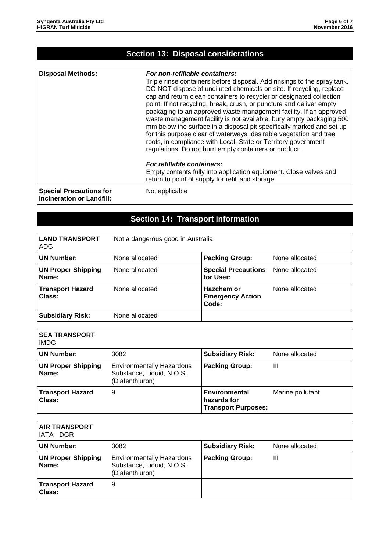| <b>Disposal Methods:</b>                                           | For non-refillable containers:<br>Triple rinse containers before disposal. Add rinsings to the spray tank.<br>DO NOT dispose of undiluted chemicals on site. If recycling, replace<br>cap and return clean containers to recycler or designated collection<br>point. If not recycling, break, crush, or puncture and deliver empty<br>packaging to an approved waste management facility. If an approved<br>waste management facility is not available, bury empty packaging 500<br>mm below the surface in a disposal pit specifically marked and set up<br>for this purpose clear of waterways, desirable vegetation and tree<br>roots, in compliance with Local, State or Territory government<br>regulations. Do not burn empty containers or product.<br>For refillable containers:<br>Empty contents fully into application equipment. Close valves and<br>return to point of supply for refill and storage. |
|--------------------------------------------------------------------|--------------------------------------------------------------------------------------------------------------------------------------------------------------------------------------------------------------------------------------------------------------------------------------------------------------------------------------------------------------------------------------------------------------------------------------------------------------------------------------------------------------------------------------------------------------------------------------------------------------------------------------------------------------------------------------------------------------------------------------------------------------------------------------------------------------------------------------------------------------------------------------------------------------------|
| <b>Special Precautions for</b><br><b>Incineration or Landfill:</b> | Not applicable                                                                                                                                                                                                                                                                                                                                                                                                                                                                                                                                                                                                                                                                                                                                                                                                                                                                                                     |

# **Section 14: Transport information**

| <b>LAND TRANSPORT</b><br>ADG       | Not a dangerous good in Australia |                                                |                |
|------------------------------------|-----------------------------------|------------------------------------------------|----------------|
| <b>UN Number:</b>                  | None allocated                    | <b>Packing Group:</b>                          | None allocated |
| <b>UN Proper Shipping</b><br>Name: | None allocated                    | <b>Special Precautions</b><br>for User:        | None allocated |
| <b>Transport Hazard</b><br>Class:  | None allocated                    | Hazchem or<br><b>Emergency Action</b><br>Code: | None allocated |
| <b>Subsidiary Risk:</b>            | None allocated                    |                                                |                |

| <b>SEA TRANSPORT</b><br><b>IMDG</b>      |                                                                                  |                                                            |                  |
|------------------------------------------|----------------------------------------------------------------------------------|------------------------------------------------------------|------------------|
| <b>UN Number:</b>                        | 3082                                                                             | <b>Subsidiary Risk:</b>                                    | None allocated   |
| <b>UN Proper Shipping</b><br>Name:       | <b>Environmentally Hazardous</b><br>Substance, Liquid, N.O.S.<br>(Diafenthiuron) | <b>Packing Group:</b>                                      | Ш                |
| <b>Transport Hazard</b><br><b>Class:</b> | 9                                                                                | Environmental<br>hazards for<br><b>Transport Purposes:</b> | Marine pollutant |

| <b>AIR TRANSPORT</b><br>IATA - DGR       |                                                                                  |                         |                |
|------------------------------------------|----------------------------------------------------------------------------------|-------------------------|----------------|
| UN Number:                               | 3082                                                                             | <b>Subsidiary Risk:</b> | None allocated |
| <b>UN Proper Shipping</b><br>Name:       | <b>Environmentally Hazardous</b><br>Substance, Liquid, N.O.S.<br>(Diafenthiuron) | <b>Packing Group:</b>   | Ш              |
| <b>Transport Hazard</b><br><b>Class:</b> | 9                                                                                |                         |                |